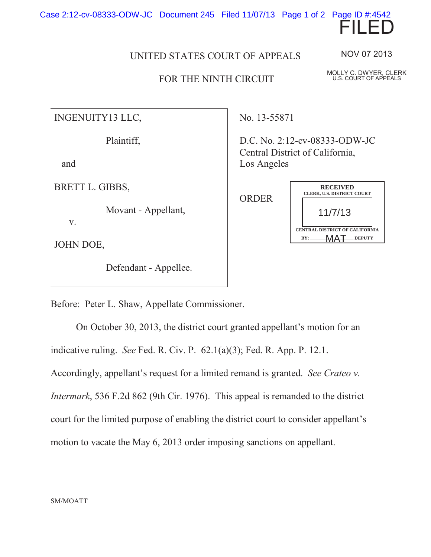Case 2:12-cv-08333-ODW-JC Document 245 Filed 11/07/13 Page 1 of 2 Page ID #:4542



## UNITED STATES COURT OF APPEALS

## FOR THE NINTH CIRCUIT

NOV 07 2013

MOLLY C. DWYER, CLERK U.S. COURT OF APPEALS

INGENUITY13 LLC,

Plaintiff,

and

BRETT L. GIBBS,

Movant - Appellant,

JOHN DOE,

v.

Defendant - Appellee.

No. 13-55871

D.C. No. 2:12-cv-08333-ODW-JC Central District of California, Los Angeles



Before: Peter L. Shaw, Appellate Commissioner.

On October 30, 2013, the district court granted appellant's motion for an indicative ruling. *See* Fed. R. Civ. P. 62.1(a)(3); Fed. R. App. P. 12.1. Accordingly, appellant's request for a limited remand is granted. *See Crateo v. Intermark*, 536 F.2d 862 (9th Cir. 1976). This appeal is remanded to the district court for the limited purpose of enabling the district court to consider appellant's motion to vacate the May 6, 2013 order imposing sanctions on appellant.